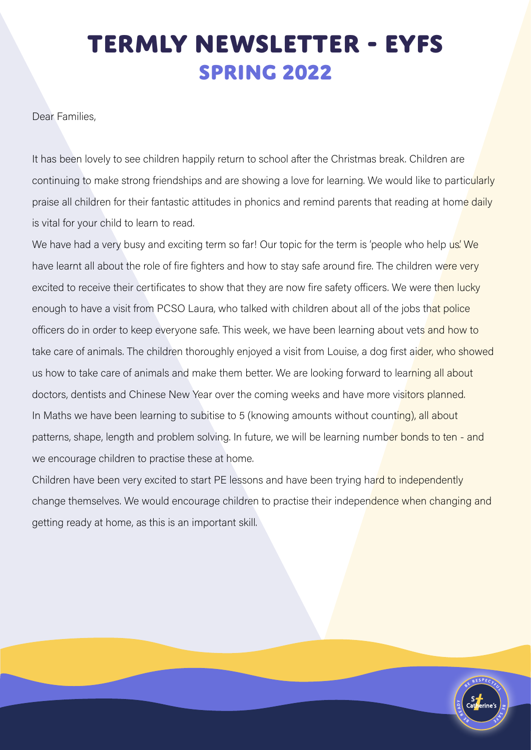## **TERMLY NEWSLETTER - EYFS SPRING 2022**

Dear Families,

It has been lovely to see children happily return to school after the Christmas break. Children are continuing to make strong friendships and are showing a love for learning. We would like to particularly praise all children for their fantastic attitudes in phonics and remind parents that reading at home daily is vital for your child to learn to read.

We have had a very busy and exciting term so far! Our topic for the term is 'people who help us' We have learnt all about the role of fire fighters and how to stay safe around fire. The children were very excited to receive their certificates to show that they are now fire safety officers. We were then lucky enough to have a visit from PCSO Laura, who talked with children about all of the jobs that police officers do in order to keep everyone safe. This week, we have been learning about vets and how to take care of animals. The children thoroughly enjoyed a visit from Louise, a dog first aider, who showed us how to take care of animals and make them better. We are looking forward to learning all about doctors, dentists and Chinese New Year over the coming weeks and have more visitors planned. In Maths we have been learning to subitise to 5 (knowing amounts without counting), all about patterns, shape, length and problem solving. In future, we will be learning number bonds to ten - and we encourage children to practise these at home.

Children have been very excited to start PE lessons and have been trying hard to independently change themselves. We would encourage children to practise their independence when changing and getting ready at home, as this is an important skill.